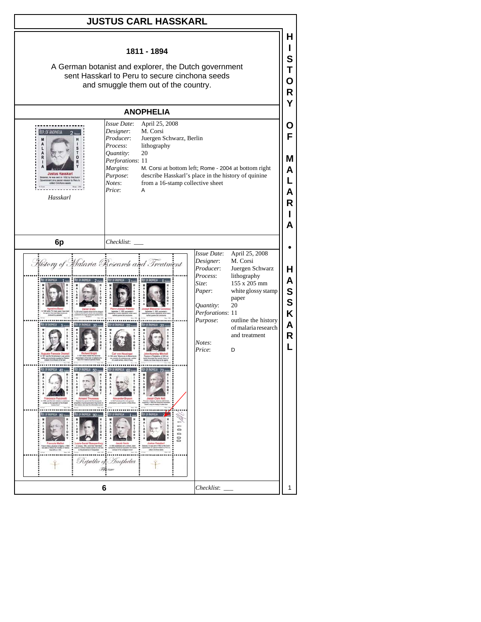